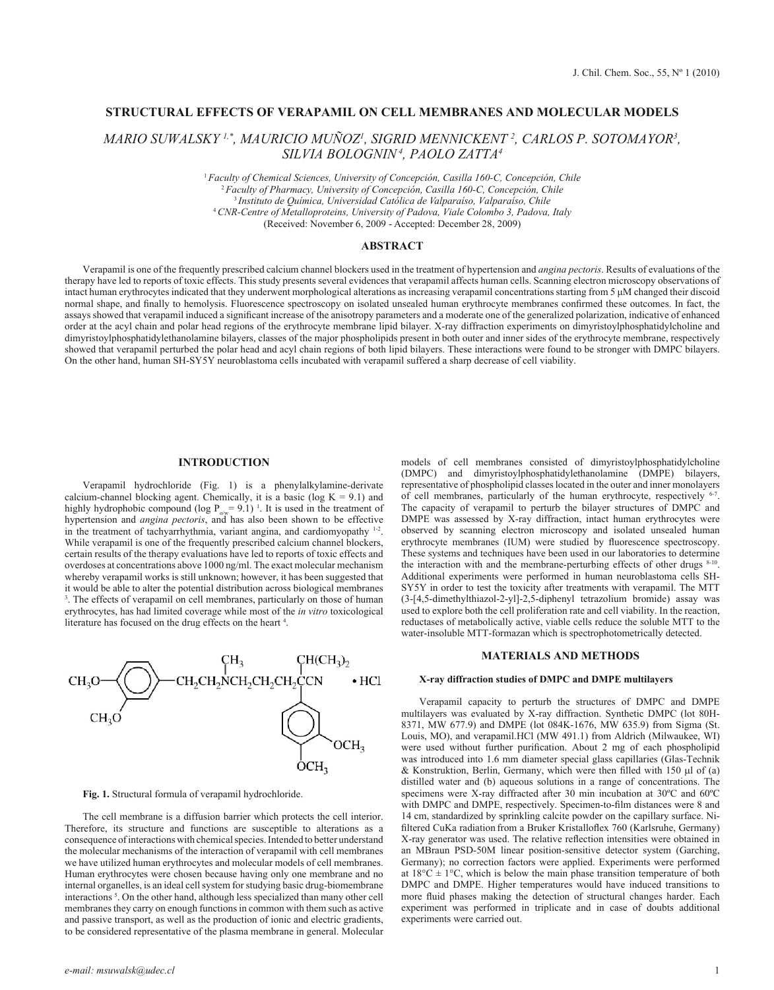# **STRUCTURAL EFFECTS OF VERAPAMIL ON CELL MEMBRANES AND MOLECULAR MODELS**

*MARIO SUWALSKY 1,\*, MAURICIO MUÑOZ1 , SIGRID MENNICKENT 2 , CARLOS P. SOTOMAYOR3 , SILVIA BOLOGNIN 4, PAOLO ZATTA4*

> *Faculty of Chemical Sciences, University of Concepción, Casilla 160-C, Concepción, Chile Faculty of Pharmacy, University of Concepción, Casilla 160-C, Concepción, Chile Instituto de Química, Universidad Católica de Valparaíso, Valparaíso, Chile CNR-Centre of Metalloproteins, University of Padova, Viale Colombo 3, Padova, Italy* (Received: November 6, 2009 - Accepted: December 28, 2009)

# **ABSTRACT**

Verapamil is one of the frequently prescribed calcium channel blockers used in the treatment of hypertension and *angina pectoris*. Results of evaluations of the therapy have led to reports of toxic effects. This study presents several evidences that verapamil affects human cells. Scanning electron microscopy observations of intact human erythrocytes indicated that they underwent morphological alterations as increasing verapamil concentrations starting from 5 μM changed their discoid normal shape, and finally to hemolysis. Fluorescence spectroscopy on isolated unsealed human erythrocyte membranes confirmed these outcomes. In fact, the assays showed that verapamil induced a significant increase of the anisotropy parameters and a moderate one of the generalized polarization, indicative of enhanced order at the acyl chain and polar head regions of the erythrocyte membrane lipid bilayer. X-ray diffraction experiments on dimyristoylphosphatidylcholine and dimyristoylphosphatidylethanolamine bilayers, classes of the major phospholipids present in both outer and inner sides of the erythrocyte membrane, respectively showed that verapamil perturbed the polar head and acyl chain regions of both lipid bilayers. These interactions were found to be stronger with DMPC bilayers. On the other hand, human SH-SY5Y neuroblastoma cells incubated with verapamil suffered a sharp decrease of cell viability.

#### **INTRODUCTION**

Verapamil hydrochloride (Fig. 1) is a phenylalkylamine-derivate calcium-channel blocking agent. Chemically, it is a basic (log  $K = 9.1$ ) and highly hydrophobic compound (log  $P_{\text{o/w}} = 9.1$ )<sup>1</sup>. It is used in the treatment of hypertension and *angina pectoris*, and has also been shown to be effective in the treatment of tachyarrhythmia, variant angina, and cardiomyopathy 1-2. While verapamil is one of the frequently prescribed calcium channel blockers, certain results of the therapy evaluations have led to reports of toxic effects and overdoses at concentrations above 1000 ng/ml. The exact molecular mechanism whereby verapamil works is still unknown; however, it has been suggested that it would be able to alter the potential distribution across biological membranes 3 . The effects of verapamil on cell membranes, particularly on those of human erythrocytes, has had limited coverage while most of the *in vitro* toxicological literature has focused on the drug effects on the heart<sup>4</sup>.



**Fig. 1.** Structural formula of verapamil hydrochloride.

The cell membrane is a diffusion barrier which protects the cell interior. Therefore, its structure and functions are susceptible to alterations as a consequence of interactions with chemical species. Intended to better understand the molecular mechanisms of the interaction of verapamil with cell membranes we have utilized human erythrocytes and molecular models of cell membranes. Human erythrocytes were chosen because having only one membrane and no internal organelles, is an ideal cell system for studying basic drug-biomembrane interactions 5 . On the other hand, although less specialized than many other cell membranes they carry on enough functions in common with them such as active and passive transport, as well as the production of ionic and electric gradients, to be considered representative of the plasma membrane in general. Molecular

models of cell membranes consisted of dimyristoylphosphatidylcholine (DMPC) and dimyristoylphosphatidylethanolamine (DMPE) bilayers, representative of phospholipid classes located in the outer and inner monolayers of cell membranes, particularly of the human erythrocyte, respectively <sup>6-7</sup>. The capacity of verapamil to perturb the bilayer structures of DMPC and DMPE was assessed by X-ray diffraction, intact human erythrocytes were observed by scanning electron microscopy and isolated unsealed human erythrocyte membranes (IUM) were studied by fluorescence spectroscopy. These systems and techniques have been used in our laboratories to determine the interaction with and the membrane-perturbing effects of other drugs  $8-10$ . Additional experiments were performed in human neuroblastoma cells SH-SY5Y in order to test the toxicity after treatments with verapamil. The MTT (3-[4,5-dimethylthiazol-2-yl]-2,5-diphenyl tetrazolium bromide) assay was used to explore both the cell proliferation rate and cell viability. In the reaction, reductases of metabolically active, viable cells reduce the soluble MTT to the water-insoluble MTT-formazan which is spectrophotometrically detected.

#### **MATERIALS AND METHODS**

## **X-ray diffraction studies of DMPC and DMPE multilayers**

Verapamil capacity to perturb the structures of DMPC and DMPE multilayers was evaluated by X-ray diffraction. Synthetic DMPC (lot 80H-8371, MW 677.9) and DMPE (lot 084K-1676, MW 635.9) from Sigma (St. Louis, MO), and verapamil.HCl (MW 491.1) from Aldrich (Milwaukee, WI) were used without further purification. About 2 mg of each phospholipid was introduced into 1.6 mm diameter special glass capillaries (Glas-Technik & Konstruktion, Berlin, Germany, which were then filled with 150  $\mu$ l of (a) distilled water and (b) aqueous solutions in a range of concentrations. The specimens were X-ray diffracted after 30 min incubation at 30ºC and 60ºC with DMPC and DMPE, respectively. Specimen-to-film distances were 8 and 14 cm, standardized by sprinkling calcite powder on the capillary surface. Nifiltered CuKa radiation from a Bruker Kristalloflex 760 (Karlsruhe, Germany) X-ray generator was used. The relative reflection intensities were obtained in an MBraun PSD-50M linear position-sensitive detector system (Garching, Germany); no correction factors were applied. Experiments were performed at  $18^{\circ}$ C  $\pm$  1°C, which is below the main phase transition temperature of both DMPC and DMPE. Higher temperatures would have induced transitions to more fluid phases making the detection of structural changes harder. Each experiment was performed in triplicate and in case of doubts additional experiments were carried out.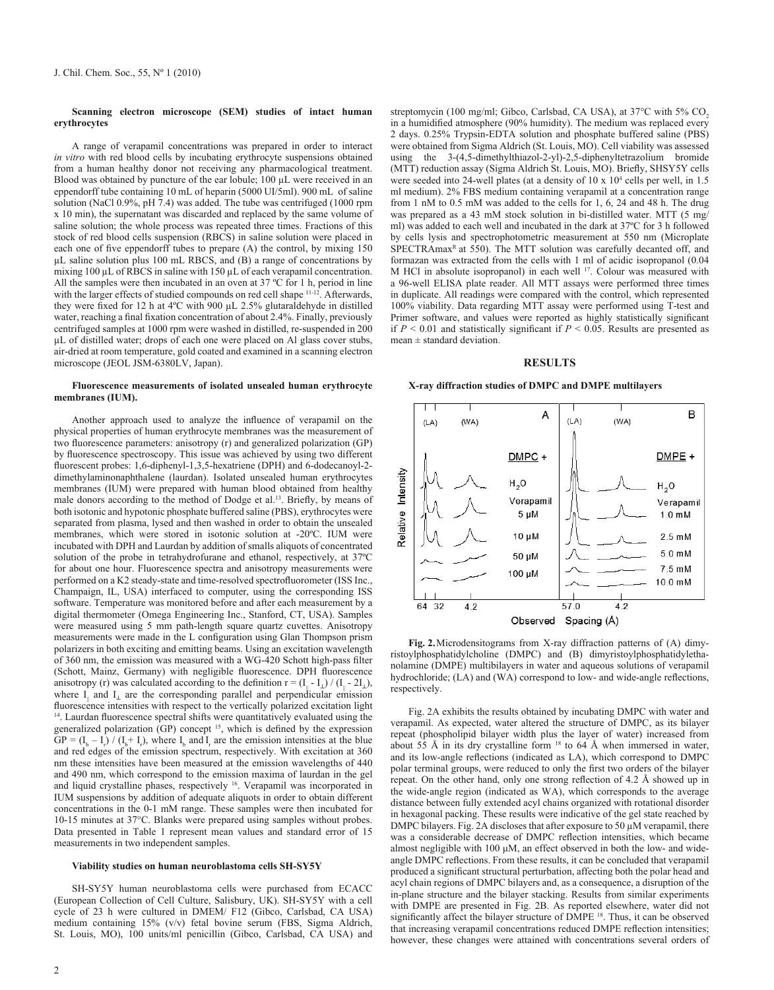# **Scanning electron microscope (SEM) studies of intact human erythrocytes**

A range of verapamil concentrations was prepared in order to interact *in vitro* with red blood cells by incubating erythrocyte suspensions obtained from a human healthy donor not receiving any pharmacological treatment. Blood was obtained by puncture of the ear lobule; 100 µL were received in an eppendorff tube containing 10 mL of heparin (5000 UI/5ml). 900 mL of saline solution (NaCl 0.9%, pH 7.4) was added. The tube was centrifuged (1000 rpm x 10 min), the supernatant was discarded and replaced by the same volume of saline solution; the whole process was repeated three times. Fractions of this stock of red blood cells suspension (RBCS) in saline solution were placed in each one of five eppendorff tubes to prepare (A) the control, by mixing 150 µL saline solution plus 100 mL RBCS, and (B) a range of concentrations by mixing 100 µL of RBCS in saline with 150 µL of each verapamil concentration. All the samples were then incubated in an oven at 37 ºC for 1 h, period in line with the larger effects of studied compounds on red cell shape <sup>11-12</sup>. Afterwards, they were fixed for 12 h at 4ºC with 900 µL 2.5% glutaraldehyde in distilled water, reaching a final fixation concentration of about 2.4%. Finally, previously centrifuged samples at 1000 rpm were washed in distilled, re-suspended in 200 µL of distilled water; drops of each one were placed on Al glass cover stubs, air-dried at room temperature, gold coated and examined in a scanning electron microscope (JEOL JSM-6380LV, Japan).

#### **Fluorescence measurements of isolated unsealed human erythrocyte membranes (IUM).**

Another approach used to analyze the influence of verapamil on the physical properties of human erythrocyte membranes was the measurement of two fluorescence parameters: anisotropy (r) and generalized polarization (GP) by fluorescence spectroscopy. This issue was achieved by using two different fluorescent probes: 1,6-diphenyl-1,3,5-hexatriene (DPH) and 6-dodecanoyl-2 dimethylaminonaphthalene (laurdan). Isolated unsealed human erythrocytes membranes (IUM) were prepared with human blood obtained from healthy male donors according to the method of Dodge et al.<sup>13</sup>. Briefly, by means of both isotonic and hypotonic phosphate buffered saline (PBS), erythrocytes were separated from plasma, lysed and then washed in order to obtain the unsealed membranes, which were stored in isotonic solution at -20ºC. IUM were incubated with DPH and Laurdan by addition of smalls aliquots of concentrated solution of the probe in tetrahydrofurane and ethanol, respectively, at 37ºC for about one hour. Fluorescence spectra and anisotropy measurements were performed on a K2 steady-state and time-resolved spectrofluorometer (ISS Inc., Champaign, IL, USA) interfaced to computer, using the corresponding ISS software. Temperature was monitored before and after each measurement by a digital thermometer (Omega Engineering Inc., Stanford, CT, USA). Samples were measured using 5 mm path-length square quartz cuvettes. Anisotropy measurements were made in the L configuration using Glan Thompson prism polarizers in both exciting and emitting beams. Using an excitation wavelength of 360 nm, the emission was measured with a WG-420 Schott high-pass filter (Schott, Mainz, Germany) with negligible fluorescence. DPH fluorescence anisotropy (r) was calculated according to the definition  $r = (I_{\parallel} - I_{\perp})/(I_{\parallel} - 2I_{\perp})$ , where  $I_{\parallel}$  and  $I_{\perp}$  are the corresponding parallel and perpendicular emission fluorescence intensities with respect to the vertically polarized excitation light <sup>14</sup>. Laurdan fluorescence spectral shifts were quantitatively evaluated using the generalized polarization (GP) concept <sup>15</sup>, which is defined by the expression  $GP = (I_b - I_r) / (I_b + I_r)$ , where  $I_b$  and  $I_r$  are the emission intensities at the blue and red edges of the emission spectrum, respectively. With excitation at 360 nm these intensities have been measured at the emission wavelengths of 440 and 490 nm, which correspond to the emission maxima of laurdan in the gel and liquid crystalline phases, respectively 16. Verapamil was incorporated in IUM suspensions by addition of adequate aliquots in order to obtain different concentrations in the 0-1 mM range. These samples were then incubated for 10-15 minutes at 37°C. Blanks were prepared using samples without probes. Data presented in Table 1 represent mean values and standard error of 15 measurements in two independent samples.

# **Viability studies on human neuroblastoma cells SH-SY5Y**

SH-SY5Y human neuroblastoma cells were purchased from ECACC (European Collection of Cell Culture, Salisbury, UK). SH-SY5Y with a cell cycle of 23 h were cultured in DMEM/ F12 (Gibco, Carlsbad, CA USA) medium containing 15% (v/v) fetal bovine serum (FBS, Sigma Aldrich, St. Louis, MO), 100 units/ml penicillin (Gibco, Carlsbad, CA USA) and

2

streptomycin (100 mg/ml; Gibco, Carlsbad, CA USA), at 37°C with 5% CO<sub>2</sub> in a humidified atmosphere (90% humidity). The medium was replaced every 2 days. 0.25% Trypsin-EDTA solution and phosphate buffered saline (PBS) were obtained from Sigma Aldrich (St. Louis, MO). Cell viability was assessed using the 3-(4,5-dimethylthiazol-2-yl)-2,5-diphenyltetrazolium bromide (MTT) reduction assay (Sigma Aldrich St. Louis, MO). Briefly, SHSY5Y cells were seeded into 24-well plates (at a density of  $10 \times 10^4$  cells per well, in 1.5 ml medium). 2% FBS medium containing verapamil at a concentration range from 1 nM to 0.5 mM was added to the cells for 1, 6, 24 and 48 h. The drug was prepared as a 43 mM stock solution in bi-distilled water. MTT (5 mg/ ml) was added to each well and incubated in the dark at 37ºC for 3 h followed by cells lysis and spectrophotometric measurement at 550 nm (Microplate SPECTRAmax<sup>R</sup> at 550). The MTT solution was carefully decanted off, and formazan was extracted from the cells with 1 ml of acidic isopropanol (0.04 M HCl in absolute isopropanol) in each well <sup>17</sup>. Colour was measured with a 96-well ELISA plate reader. All MTT assays were performed three times in duplicate. All readings were compared with the control, which represented 100% viability. Data regarding MTT assay were performed using T-test and Primer software, and values were reported as highly statistically significant if  $P \leq 0.01$  and statistically significant if  $P \leq 0.05$ . Results are presented as mean  $\pm$  standard deviation.

#### **RESULTS**

# **X-ray diffraction studies of DMPC and DMPE multilayers**



**Fig. 2.**Microdensitograms from X-ray diffraction patterns of (A) dimyristoylphosphatidylcholine (DMPC) and (B) dimyristoylphosphatidylethanolamine (DMPE) multibilayers in water and aqueous solutions of verapamil hydrochloride; (LA) and (WA) correspond to low- and wide-angle reflections, respectively.

Fig. 2A exhibits the results obtained by incubating DMPC with water and verapamil. As expected, water altered the structure of DMPC, as its bilayer repeat (phospholipid bilayer width plus the layer of water) increased from about 55 Å in its dry crystalline form 18 to 64 Å when immersed in water, and its low-angle reflections (indicated as LA), which correspond to DMPC polar terminal groups, were reduced to only the first two orders of the bilayer repeat. On the other hand, only one strong reflection of 4.2 Å showed up in the wide-angle region (indicated as WA), which corresponds to the average distance between fully extended acyl chains organized with rotational disorder in hexagonal packing. These results were indicative of the gel state reached by DMPC bilayers. Fig. 2A discloses that after exposure to 50  $\mu$ M verapamil, there was a considerable decrease of DMPC reflection intensities, which became almost negligible with 100 μM, an effect observed in both the low- and wideangle DMPC reflections. From these results, it can be concluded that verapamil produced a significant structural perturbation, affecting both the polar head and acyl chain regions of DMPC bilayers and, as a consequence, a disruption of the in-plane structure and the bilayer stacking. Results from similar experiments with DMPE are presented in Fig. 2B. As reported elsewhere, water did not significantly affect the bilayer structure of DMPE<sup>18</sup>. Thus, it can be observed that increasing verapamil concentrations reduced DMPE reflection intensities; however, these changes were attained with concentrations several orders of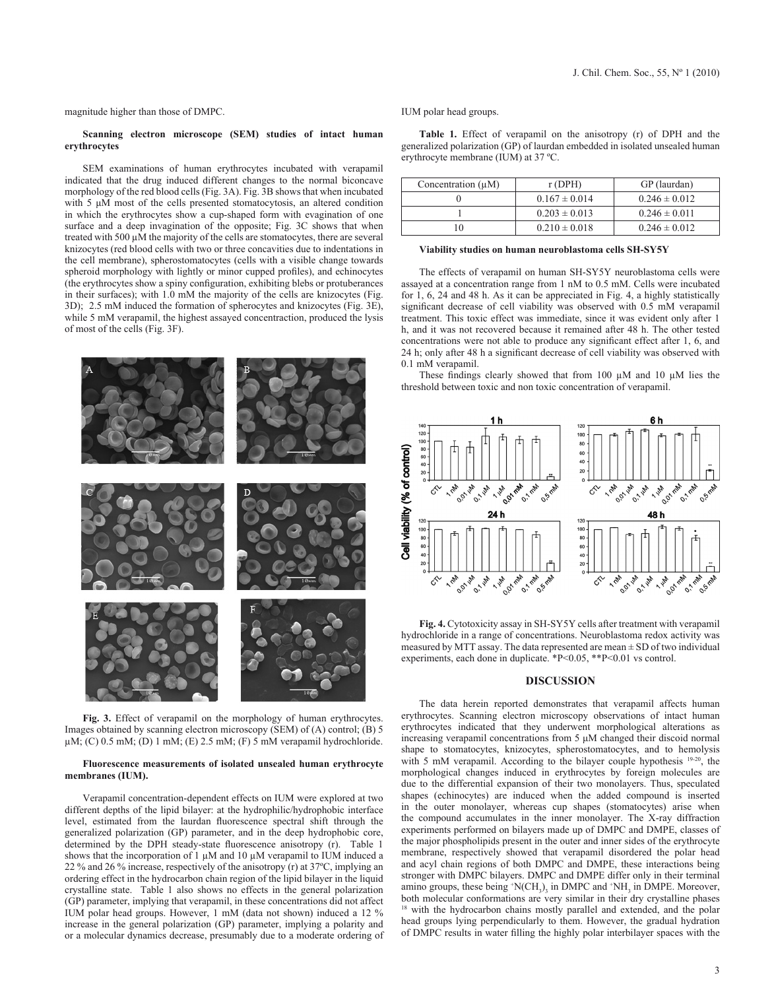magnitude higher than those of DMPC.

## **Scanning electron microscope (SEM) studies of intact human erythrocytes**

SEM examinations of human erythrocytes incubated with verapamil indicated that the drug induced different changes to the normal biconcave morphology of the red blood cells (Fig. 3A). Fig. 3B shows that when incubated with 5 μM most of the cells presented stomatocytosis, an altered condition in which the erythrocytes show a cup-shaped form with evagination of one surface and a deep invagination of the opposite; Fig. 3C shows that when treated with 500 µM the majority of the cells are stomatocytes, there are several knizocytes (red blood cells with two or three concavities due to indentations in the cell membrane), spherostomatocytes (cells with a visible change towards spheroid morphology with lightly or minor cupped profiles), and echinocytes (the erythrocytes show a spiny configuration, exhibiting blebs or protuberances in their surfaces); with 1.0 mM the majority of the cells are knizocytes (Fig. 3D); 2.5 mM induced the formation of spherocytes and knizocytes (Fig. 3E), while 5 mM verapamil, the highest assayed concentraction, produced the lysis of most of the cells (Fig. 3F).



**Fig. 3.** Effect of verapamil on the morphology of human erythrocytes. Images obtained by scanning electron microscopy (SEM) of (A) control; (B) 5  $\mu$ M; (C) 0.5 mM; (D) 1 mM; (E) 2.5 mM; (F) 5 mM verapamil hydrochloride.

# **Fluorescence measurements of isolated unsealed human erythrocyte membranes (IUM).**

Verapamil concentration-dependent effects on IUM were explored at two different depths of the lipid bilayer: at the hydrophilic/hydrophobic interface level, estimated from the laurdan fluorescence spectral shift through the generalized polarization (GP) parameter, and in the deep hydrophobic core, determined by the DPH steady-state fluorescence anisotropy (r). Table 1 shows that the incorporation of 1  $\mu$ M and 10  $\mu$ M verapamil to IUM induced a 22 % and 26 % increase, respectively of the anisotropy (r) at 37ºC, implying an ordering effect in the hydrocarbon chain region of the lipid bilayer in the liquid crystalline state. Table 1 also shows no effects in the general polarization (GP) parameter, implying that verapamil, in these concentrations did not affect IUM polar head groups. However, 1 mM (data not shown) induced a 12 % increase in the general polarization (GP) parameter, implying a polarity and or a molecular dynamics decrease, presumably due to a moderate ordering of IUM polar head groups.

**Table 1.** Effect of verapamil on the anisotropy (r) of DPH and the generalized polarization (GP) of laurdan embedded in isolated unsealed human erythrocyte membrane (IUM) at 37 ºC.

| Concentration $(\mu M)$ | r(DPH)            | GP (laurdan)      |
|-------------------------|-------------------|-------------------|
|                         | $0.167 \pm 0.014$ | $0.246 \pm 0.012$ |
|                         | $0.203 \pm 0.013$ | $0.246 \pm 0.011$ |
|                         | $0.210 \pm 0.018$ | $0.246 \pm 0.012$ |

#### **Viability studies on human neuroblastoma cells SH-SY5Y**

The effects of verapamil on human SH-SY5Y neuroblastoma cells were assayed at a concentration range from 1 nM to 0.5 mM. Cells were incubated for 1, 6, 24 and 48 h. As it can be appreciated in Fig. 4, a highly statistically significant decrease of cell viability was observed with 0.5 mM verapamil treatment. This toxic effect was immediate, since it was evident only after 1 h, and it was not recovered because it remained after 48 h. The other tested concentrations were not able to produce any significant effect after 1, 6, and 24 h; only after 48 h a significant decrease of cell viability was observed with 0.1 mM verapamil.

These findings clearly showed that from 100 µM and 10 µM lies the threshold between toxic and non toxic concentration of verapamil.



**Fig. 4.** Cytotoxicity assay in SH-SY5Y cells after treatment with verapamil hydrochloride in a range of concentrations. Neuroblastoma redox activity was measured by MTT assay. The data represented are mean  $\pm$  SD of two individual experiments, each done in duplicate. \*P<0.05, \*\*P<0.01 vs control.

# **DISCUSSION**

The data herein reported demonstrates that verapamil affects human erythrocytes. Scanning electron microscopy observations of intact human erythrocytes indicated that they underwent morphological alterations as increasing verapamil concentrations from 5 μM changed their discoid normal shape to stomatocytes, knizocytes, spherostomatocytes, and to hemolysis with 5 mM verapamil. According to the bilayer couple hypothesis <sup>19-20</sup>, the morphological changes induced in erythrocytes by foreign molecules are due to the differential expansion of their two monolayers. Thus, speculated shapes (echinocytes) are induced when the added compound is inserted in the outer monolayer, whereas cup shapes (stomatocytes) arise when the compound accumulates in the inner monolayer. The X-ray diffraction experiments performed on bilayers made up of DMPC and DMPE, classes of the major phospholipids present in the outer and inner sides of the erythrocyte membrane, respectively showed that verapamil disordered the polar head and acyl chain regions of both DMPC and DMPE, these interactions being stronger with DMPC bilayers. DMPC and DMPE differ only in their terminal amino groups, these being  $(NCH<sub>3</sub>)<sub>3</sub>$  in DMPC and  $(NH<sub>3</sub>)<sub>3</sub>$  in DMPE. Moreover, both molecular conformations are very similar in their dry crystalline phases <sup>18</sup> with the hydrocarbon chains mostly parallel and extended, and the polar head groups lying perpendicularly to them. However, the gradual hydration of DMPC results in water filling the highly polar interbilayer spaces with the